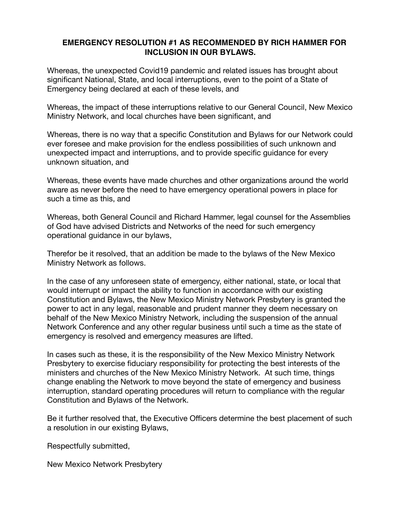## **EMERGENCY RESOLUTION #1 AS RECOMMENDED BY RICH HAMMER FOR INCLUSION IN OUR BYLAWS.**

Whereas, the unexpected Covid19 pandemic and related issues has brought about significant National, State, and local interruptions, even to the point of a State of Emergency being declared at each of these levels, and

Whereas, the impact of these interruptions relative to our General Council, New Mexico Ministry Network, and local churches have been significant, and

Whereas, there is no way that a specific Constitution and Bylaws for our Network could ever foresee and make provision for the endless possibilities of such unknown and unexpected impact and interruptions, and to provide specific guidance for every unknown situation, and

Whereas, these events have made churches and other organizations around the world aware as never before the need to have emergency operational powers in place for such a time as this, and

Whereas, both General Council and Richard Hammer, legal counsel for the Assemblies of God have advised Districts and Networks of the need for such emergency operational guidance in our bylaws,

Therefor be it resolved, that an addition be made to the bylaws of the New Mexico Ministry Network as follows.

In the case of any unforeseen state of emergency, either national, state, or local that would interrupt or impact the ability to function in accordance with our existing Constitution and Bylaws, the New Mexico Ministry Network Presbytery is granted the power to act in any legal, reasonable and prudent manner they deem necessary on behalf of the New Mexico Ministry Network, including the suspension of the annual Network Conference and any other regular business until such a time as the state of emergency is resolved and emergency measures are lifted.

In cases such as these, it is the responsibility of the New Mexico Ministry Network Presbytery to exercise fiduciary responsibility for protecting the best interests of the ministers and churches of the New Mexico Ministry Network. At such time, things change enabling the Network to move beyond the state of emergency and business interruption, standard operating procedures will return to compliance with the regular Constitution and Bylaws of the Network.

Be it further resolved that, the Executive Officers determine the best placement of such a resolution in our existing Bylaws,

Respectfully submitted,

New Mexico Network Presbytery